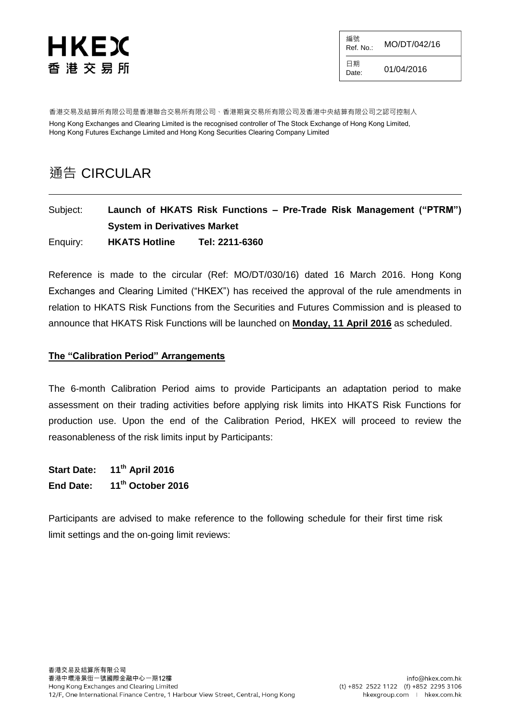編號  $R$ ef. No.: MO/DT/042/16 日期<br>Date: 01/04/2016

香港交易及結算所有限公司是香港聯合交易所有限公司、香港期貨交易所有限公司及香港中央結算有限公司之認可控制人 Hong Kong Exchanges and Clearing Limited is the recognised controller of The Stock Exchange of Hong Kong Limited, Hong Kong Futures Exchange Limited and Hong Kong Securities Clearing Company Limited

### 通告 CIRCULAR

### Subject: **Launch of HKATS Risk Functions – Pre-Trade Risk Management ("PTRM") System in Derivatives Market**  Enquiry: **HKATS Hotline Tel: 2211-6360**

Reference is made to the circular (Ref: MO/DT/030/16) dated 16 March 2016. Hong Kong Exchanges and Clearing Limited ("HKEX") has received the approval of the rule amendments in relation to HKATS Risk Functions from the Securities and Futures Commission and is pleased to announce that HKATS Risk Functions will be launched on **Monday, 11 April 2016** as scheduled.

#### **The "Calibration Period" Arrangements**

The 6-month Calibration Period aims to provide Participants an adaptation period to make assessment on their trading activities before applying risk limits into HKATS Risk Functions for production use. Upon the end of the Calibration Period, HKEX will proceed to review the reasonableness of the risk limits input by Participants:

**Start Date: 11th April 2016 End Date: 11th October 2016**

Participants are advised to make reference to the following schedule for their first time risk limit settings and the on-going limit reviews: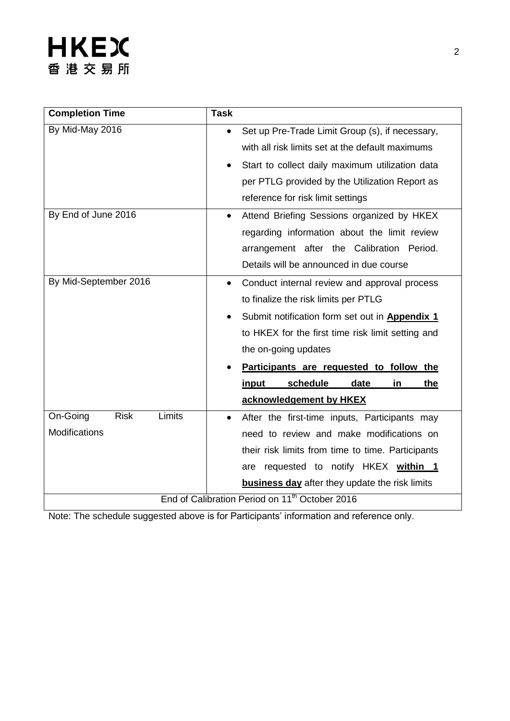| <b>Completion Time</b>            | <b>Task</b>                                                |
|-----------------------------------|------------------------------------------------------------|
| By Mid-May 2016                   | Set up Pre-Trade Limit Group (s), if necessary,            |
|                                   | with all risk limits set at the default maximums           |
|                                   | Start to collect daily maximum utilization data            |
|                                   | per PTLG provided by the Utilization Report as             |
|                                   | reference for risk limit settings                          |
| By End of June 2016               | Attend Briefing Sessions organized by HKEX<br>$\bullet$    |
|                                   | regarding information about the limit review               |
|                                   | arrangement after the Calibration Period.                  |
|                                   | Details will be announced in due course                    |
| By Mid-September 2016             | Conduct internal review and approval process<br>$\bullet$  |
|                                   | to finalize the risk limits per PTLG                       |
|                                   | Submit notification form set out in Appendix 1             |
|                                   | to HKEX for the first time risk limit setting and          |
|                                   | the on-going updates                                       |
|                                   | Participants are requested to follow the                   |
|                                   | schedule<br>input<br>date<br>in<br>the                     |
|                                   | acknowledgement by HKEX                                    |
| <b>Risk</b><br>Limits<br>On-Going | After the first-time inputs, Participants may<br>$\bullet$ |
| <b>Modifications</b>              | need to review and make modifications on                   |
|                                   | their risk limits from time to time. Participants          |
|                                   | are requested to notify HKEX within 1                      |
|                                   | <b>business day</b> after they update the risk limits      |
|                                   | End of Calibration Period on 11 <sup>th</sup> October 2016 |

Note: The schedule suggested above is for Participants' information and reference only.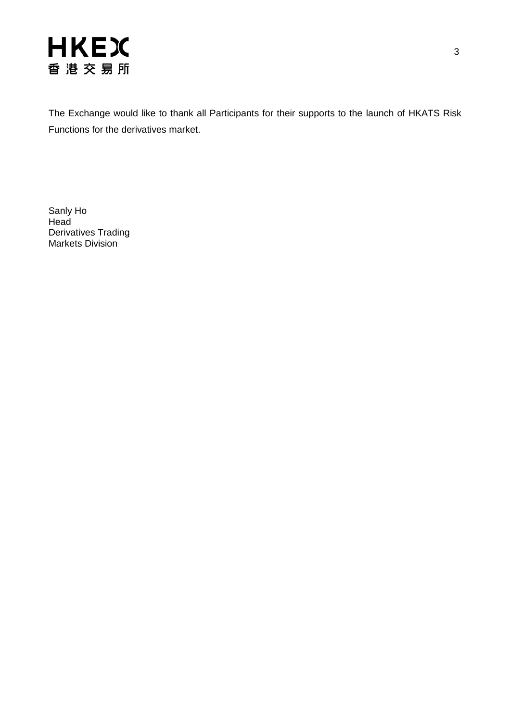

The Exchange would like to thank all Participants for their supports to the launch of HKATS Risk Functions for the derivatives market.

Sanly Ho **Head** Derivatives Trading Markets Division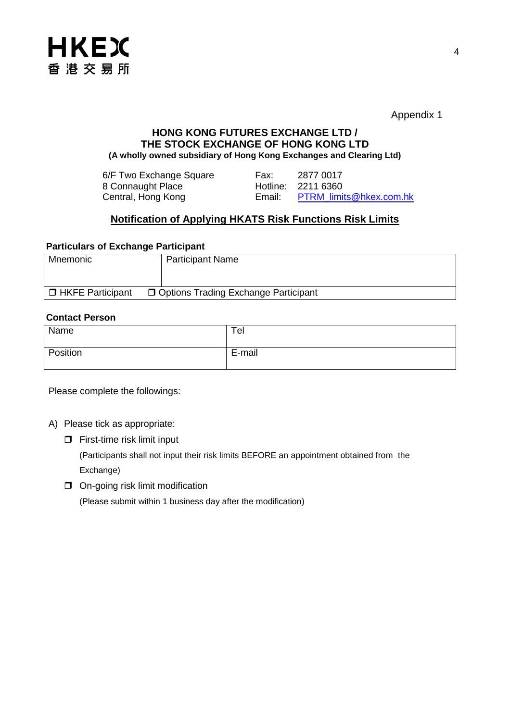

Appendix 1

#### **HONG KONG FUTURES EXCHANGE LTD / THE STOCK EXCHANGE OF HONG KONG LTD (A wholly owned subsidiary of Hong Kong Exchanges and Clearing Ltd)**

| 6/F Two Exchange Square | Fax:   | 2877 0017                      |
|-------------------------|--------|--------------------------------|
| 8 Connaught Place       |        | Hotline: 2211 6360             |
| Central, Hong Kong      | Email: | <b>PTRM</b> limits@hkex.com.hk |

#### **Notification of Applying HKATS Risk Functions Risk Limits**

#### **Particulars of Exchange Participant**

| Mnemonic           | <b>Participant Name</b>                |
|--------------------|----------------------------------------|
|                    |                                        |
| □ HKFE Participant | □ Options Trading Exchange Participant |

#### **Contact Person**

| Name     | Tel    |
|----------|--------|
| Position | E-mail |

Please complete the followings:

- A) Please tick as appropriate:
	- $\Box$  First-time risk limit input

(Participants shall not input their risk limits BEFORE an appointment obtained from the Exchange)

On-going risk limit modification

(Please submit within 1 business day after the modification)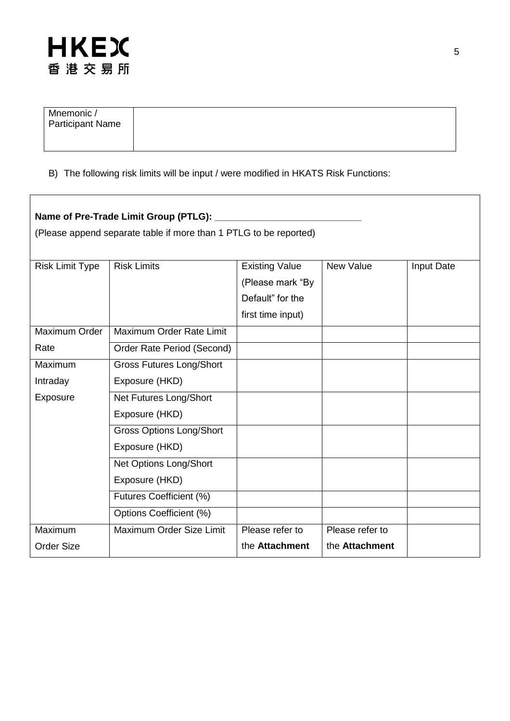| Mnemonic /<br>Participant Name |  |
|--------------------------------|--|
|                                |  |

#### B) The following risk limits will be input / were modified in HKATS Risk Functions:

| Name of Pre-Trade Limit Group (PTLG): _________                   |                                 |                       |                  |            |  |
|-------------------------------------------------------------------|---------------------------------|-----------------------|------------------|------------|--|
| (Please append separate table if more than 1 PTLG to be reported) |                                 |                       |                  |            |  |
|                                                                   |                                 |                       |                  |            |  |
| <b>Risk Limit Type</b>                                            | <b>Risk Limits</b>              | <b>Existing Value</b> | <b>New Value</b> | Input Date |  |
|                                                                   |                                 | (Please mark "By      |                  |            |  |
|                                                                   |                                 | Default" for the      |                  |            |  |
|                                                                   |                                 | first time input)     |                  |            |  |
| Maximum Order                                                     | Maximum Order Rate Limit        |                       |                  |            |  |
| Rate                                                              | Order Rate Period (Second)      |                       |                  |            |  |
| Maximum                                                           | <b>Gross Futures Long/Short</b> |                       |                  |            |  |
| Intraday                                                          | Exposure (HKD)                  |                       |                  |            |  |
| Exposure                                                          | Net Futures Long/Short          |                       |                  |            |  |
|                                                                   | Exposure (HKD)                  |                       |                  |            |  |
|                                                                   | <b>Gross Options Long/Short</b> |                       |                  |            |  |
|                                                                   | Exposure (HKD)                  |                       |                  |            |  |
|                                                                   | Net Options Long/Short          |                       |                  |            |  |
|                                                                   | Exposure (HKD)                  |                       |                  |            |  |
|                                                                   | Futures Coefficient (%)         |                       |                  |            |  |
|                                                                   | Options Coefficient (%)         |                       |                  |            |  |
| Maximum                                                           | Maximum Order Size Limit        | Please refer to       | Please refer to  |            |  |
| <b>Order Size</b>                                                 |                                 | the Attachment        | the Attachment   |            |  |

٦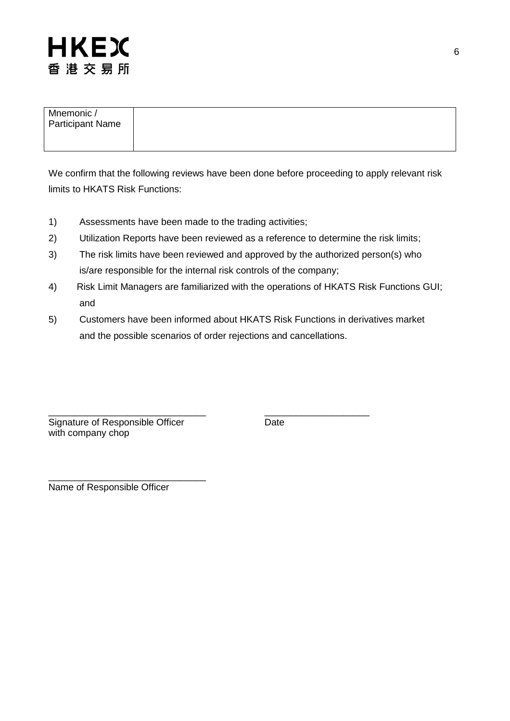| Mnemonic /<br><b>Participant Name</b> |  |
|---------------------------------------|--|
|                                       |  |

We confirm that the following reviews have been done before proceeding to apply relevant risk limits to HKATS Risk Functions:

- 1) Assessments have been made to the trading activities;
- 2) Utilization Reports have been reviewed as a reference to determine the risk limits;
- 3) The risk limits have been reviewed and approved by the authorized person(s) who is/are responsible for the internal risk controls of the company;
- 4) Risk Limit Managers are familiarized with the operations of HKATS Risk Functions GUI; and
- 5) Customers have been informed about HKATS Risk Functions in derivatives market and the possible scenarios of order rejections and cancellations.

\_\_\_\_\_\_\_\_\_\_\_\_\_\_\_\_\_\_\_\_\_\_\_\_\_\_\_\_\_\_ \_\_\_\_\_\_\_\_\_\_\_\_\_\_\_\_\_\_\_\_ Signature of Responsible Officer **Date** with company chop

\_\_\_\_\_\_\_\_\_\_\_\_\_\_\_\_\_\_\_\_\_\_\_\_\_\_\_\_\_\_ Name of Responsible Officer